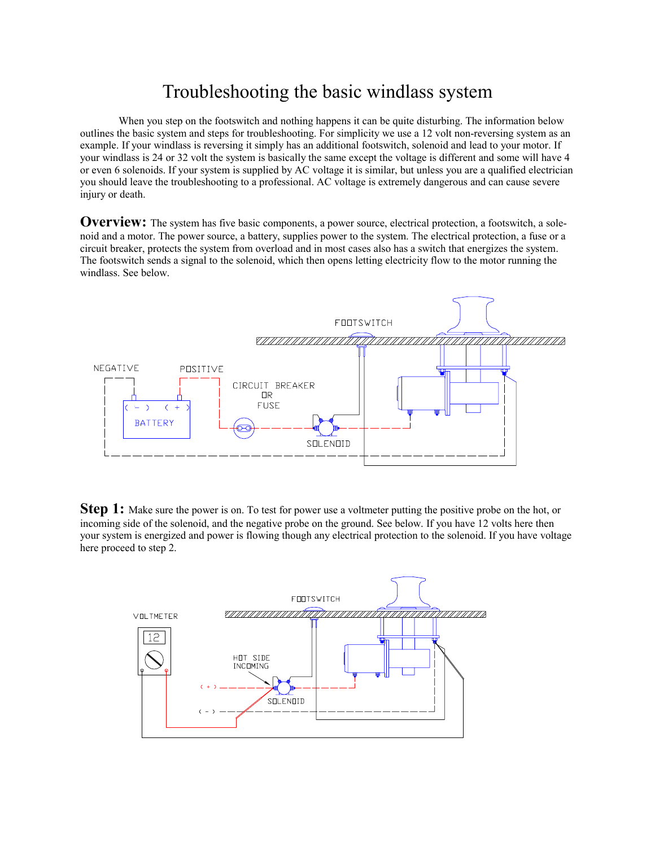## Troubleshooting the basic windlass system

When you step on the footswitch and nothing happens it can be quite disturbing. The information below outlines the basic system and steps for troubleshooting. For simplicity we use a 12 volt non-reversing system as an example. If your windlass is reversing it simply has an additional footswitch, solenoid and lead to your motor. If your windlass is 24 or 32 volt the system is basically the same except the voltage is different and some will have 4 or even 6 solenoids. If your system is supplied by AC voltage it is similar, but unless you are a qualified electrician you should leave the troubleshooting to a professional. AC voltage is extremely dangerous and can cause severe injury or death.

**Overview:** The system has five basic components, a power source, electrical protection, a footswitch, a solenoid and a motor. The power source, a battery, supplies power to the system. The electrical protection, a fuse or a circuit breaker, protects the system from overload and in most cases also has a switch that energizes the system. The footswitch sends a signal to the solenoid, which then opens letting electricity flow to the motor running the windlass. See below.



**Step 1:** Make sure the power is on. To test for power use a voltmeter putting the positive probe on the hot, or incoming side of the solenoid, and the negative probe on the ground. See below. If you have 12 volts here then your system is energized and power is flowing though any electrical protection to the solenoid. If you have voltage here proceed to step 2.

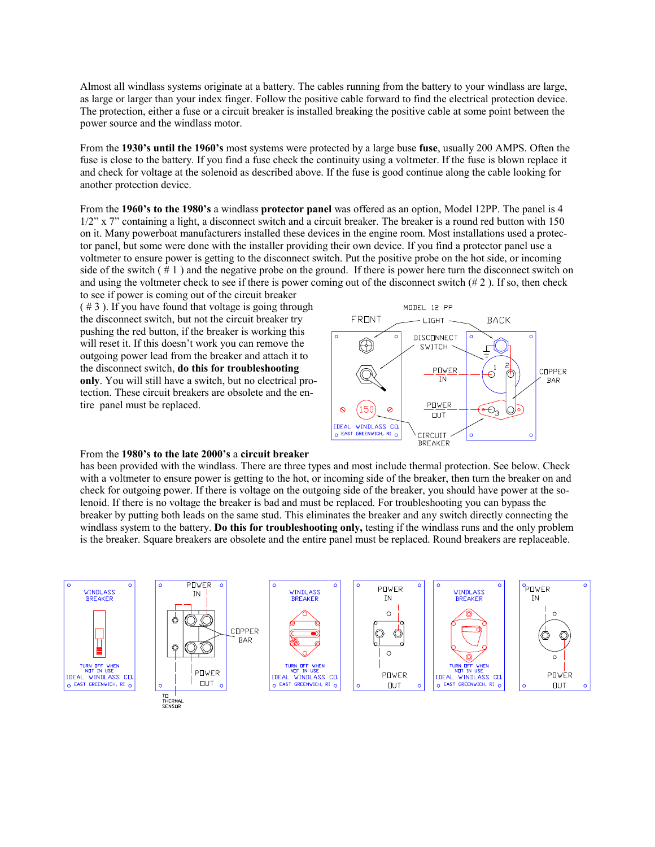Almost all windlass systems originate at a battery. The cables running from the battery to your windlass are large, as large or larger than your index finger. Follow the positive cable forward to find the electrical protection device. The protection, either a fuse or a circuit breaker is installed breaking the positive cable at some point between the power source and the windlass motor.

From the **1930's until the 1960's** most systems were protected by a large buse **fuse**, usually 200 AMPS. Often the fuse is close to the battery. If you find a fuse check the continuity using a voltmeter. If the fuse is blown replace it and check for voltage at the solenoid as described above. If the fuse is good continue along the cable looking for another protection device.

From the **1960's to the 1980's** a windlass **protector panel** was offered as an option, Model 12PP. The panel is 4 1/2" x 7" containing a light, a disconnect switch and a circuit breaker. The breaker is a round red button with 150 on it. Many powerboat manufacturers installed these devices in the engine room. Most installations used a protector panel, but some were done with the installer providing their own device. If you find a protector panel use a voltmeter to ensure power is getting to the disconnect switch. Put the positive probe on the hot side, or incoming side of the switch  $( # 1)$  and the negative probe on the ground. If there is power here turn the disconnect switch on and using the voltmeter check to see if there is power coming out of the disconnect switch  $(\# 2)$ . If so, then check

to see if power is coming out of the circuit breaker  $( # 3)$ . If you have found that voltage is going through the disconnect switch, but not the circuit breaker try pushing the red button, if the breaker is working this will reset it. If this doesn't work you can remove the outgoing power lead from the breaker and attach it to the disconnect switch, **do this for troubleshooting only**. You will still have a switch, but no electrical protection. These circuit breakers are obsolete and the entire panel must be replaced.



## From the **1980's to the late 2000's** a **circuit breaker**

has been provided with the windlass. There are three types and most include thermal protection. See below. Check with a voltmeter to ensure power is getting to the hot, or incoming side of the breaker, then turn the breaker on and check for outgoing power. If there is voltage on the outgoing side of the breaker, you should have power at the solenoid. If there is no voltage the breaker is bad and must be replaced. For troubleshooting you can bypass the breaker by putting both leads on the same stud. This eliminates the breaker and any switch directly connecting the windlass system to the battery. **Do this for troubleshooting only,** testing if the windlass runs and the only problem is the breaker. Square breakers are obsolete and the entire panel must be replaced. Round breakers are replaceable.

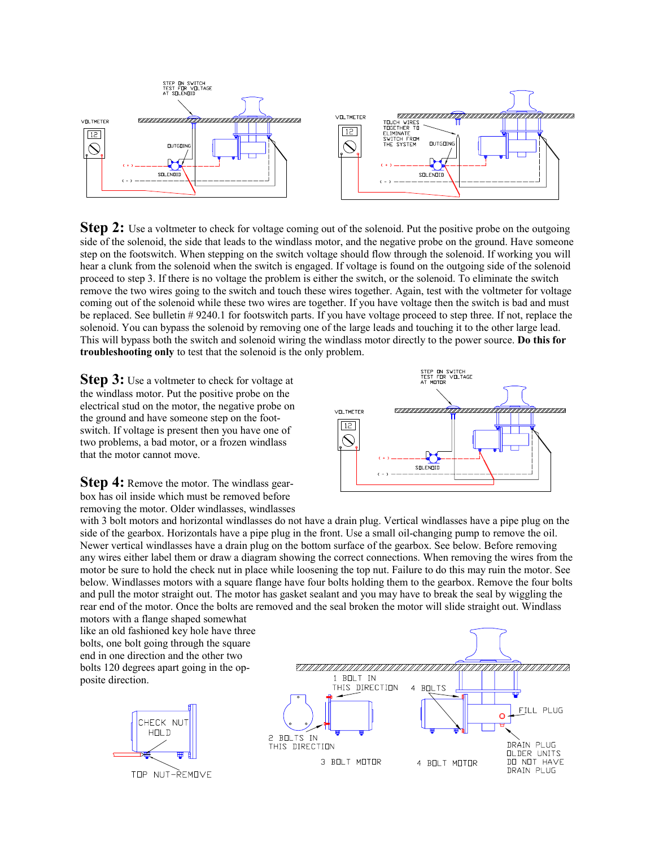

**Step 2:** Use a voltmeter to check for voltage coming out of the solenoid. Put the positive probe on the outgoing side of the solenoid, the side that leads to the windlass motor, and the negative probe on the ground. Have someone step on the footswitch. When stepping on the switch voltage should flow through the solenoid. If working you will hear a clunk from the solenoid when the switch is engaged. If voltage is found on the outgoing side of the solenoid proceed to step 3. If there is no voltage the problem is either the switch, or the solenoid. To eliminate the switch remove the two wires going to the switch and touch these wires together. Again, test with the voltmeter for voltage coming out of the solenoid while these two wires are together. If you have voltage then the switch is bad and must be replaced. See bulletin # 9240.1 for footswitch parts. If you have voltage proceed to step three. If not, replace the solenoid. You can bypass the solenoid by removing one of the large leads and touching it to the other large lead. This will bypass both the switch and solenoid wiring the windlass motor directly to the power source. **Do this for troubleshooting only** to test that the solenoid is the only problem.

**Step 3:** Use a voltmeter to check for voltage at the windlass motor. Put the positive probe on the electrical stud on the motor, the negative probe on the ground and have someone step on the footswitch. If voltage is present then you have one of two problems, a bad motor, or a frozen windlass that the motor cannot move.

**Step 4:** Remove the motor. The windlass gearbox has oil inside which must be removed before removing the motor. Older windlasses, windlasses



with 3 bolt motors and horizontal windlasses do not have a drain plug. Vertical windlasses have a pipe plug on the side of the gearbox. Horizontals have a pipe plug in the front. Use a small oil-changing pump to remove the oil. Newer vertical windlasses have a drain plug on the bottom surface of the gearbox. See below. Before removing any wires either label them or draw a diagram showing the correct connections. When removing the wires from the motor be sure to hold the check nut in place while loosening the top nut. Failure to do this may ruin the motor. See below. Windlasses motors with a square flange have four bolts holding them to the gearbox. Remove the four bolts and pull the motor straight out. The motor has gasket sealant and you may have to break the seal by wiggling the rear end of the motor. Once the bolts are removed and the seal broken the motor will slide straight out. Windlass

motors with a flange shaped somewhat like an old fashioned key hole have three bolts, one bolt going through the square end in one direction and the other two bolts 120 degrees apart going in the opposite direction.